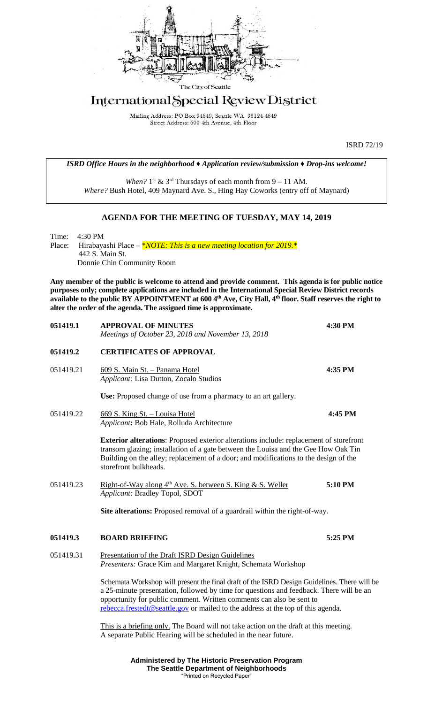

# International Special Review District

Mailing Address: PO Box 94649, Seattle WA 98124-4649 Street Address: 600 4th Avenue, 4th Floor

ISRD 72/19

*ISRD Office Hours in the neighborhood ♦ Application review/submission ♦ Drop-ins welcome!*

When?  $1<sup>st</sup>$  &  $3<sup>rd</sup>$  Thursdays of each month from  $9 - 11$  AM. *Where?* Bush Hotel, 409 Maynard Ave. S., Hing Hay Coworks (entry off of Maynard)

# **AGENDA FOR THE MEETING OF TUESDAY, MAY 14, 2019**

Time: 4:30 PM Place: Hirabayashi Place – *\*<u>NOTE: This is a new meeting location for 2019.</u> \** 442 S. Main St. Donnie Chin Community Room

**Any member of the public is welcome to attend and provide comment. This agenda is for public notice purposes only; complete applications are included in the International Special Review District records available to the public BY APPOINTMENT at 600 4th Ave, City Hall, 4th floor. Staff reserves the right to alter the order of the agenda. The assigned time is approximate.** 

| 051419.1  | <b>APPROVAL OF MINUTES</b><br>Meetings of October 23, 2018 and November 13, 2018                                                                                                                                                                                                                                                                   | 4:30 PM |
|-----------|----------------------------------------------------------------------------------------------------------------------------------------------------------------------------------------------------------------------------------------------------------------------------------------------------------------------------------------------------|---------|
| 051419.2  | <b>CERTIFICATES OF APPROVAL</b>                                                                                                                                                                                                                                                                                                                    |         |
| 051419.21 | 609 S. Main St. - Panama Hotel<br>Applicant: Lisa Dutton, Zocalo Studios                                                                                                                                                                                                                                                                           | 4:35 PM |
|           | Use: Proposed change of use from a pharmacy to an art gallery.                                                                                                                                                                                                                                                                                     |         |
| 051419.22 | 669 S. King St. - Louisa Hotel<br>Applicant: Bob Hale, Rolluda Architecture                                                                                                                                                                                                                                                                        | 4:45 PM |
|           | <b>Exterior alterations:</b> Proposed exterior alterations include: replacement of storefront<br>transom glazing; installation of a gate between the Louisa and the Gee How Oak Tin<br>Building on the alley; replacement of a door; and modifications to the design of the<br>storefront bulkheads.                                               |         |
| 051419.23 | Right-of-Way along 4 <sup>th</sup> Ave. S. between S. King & S. Weller<br>Applicant: Bradley Topol, SDOT                                                                                                                                                                                                                                           | 5:10 PM |
|           | Site alterations: Proposed removal of a guardrail within the right-of-way.                                                                                                                                                                                                                                                                         |         |
| 051419.3  | <b>BOARD BRIEFING</b>                                                                                                                                                                                                                                                                                                                              | 5:25 PM |
| 051419.31 | Presentation of the Draft ISRD Design Guidelines<br>Presenters: Grace Kim and Margaret Knight, Schemata Workshop                                                                                                                                                                                                                                   |         |
|           | Schemata Workshop will present the final draft of the ISRD Design Guidelines. There will be<br>a 25-minute presentation, followed by time for questions and feedback. There will be an<br>opportunity for public comment. Written comments can also be sent to<br>rebecca.frestedt@seattle.gov or mailed to the address at the top of this agenda. |         |
|           | This is a briefing only. The Board will not take action on the draft at this meeting.<br>A separate Public Hearing will be scheduled in the near future.                                                                                                                                                                                           |         |